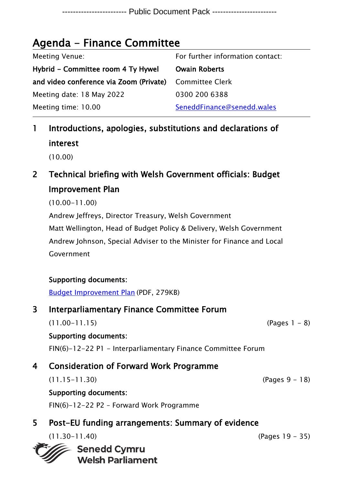## Agenda - Finance Committee

| Meeting Venue:                          | For further information contact: |
|-----------------------------------------|----------------------------------|
| Hybrid – Committee room 4 Ty Hywel      | <b>Owain Roberts</b>             |
| and video conference via Zoom (Private) | Committee Clerk                  |
| Meeting date: 18 May 2022               | 0300 200 6388                    |
| Meeting time: 10.00                     | SeneddFinance@senedd.wales       |
|                                         |                                  |

- 1 Introductions, apologies, substitutions and declarations of interest (10.00)
- 2 Technical briefing with Welsh Government officials: Budget Improvement Plan

(10.00-11.00)

Andrew Jeffreys, Director Treasury, Welsh Government Matt Wellington, Head of Budget Policy & Delivery, Welsh Government

Andrew Johnson, Special Adviser to the Minister for Finance and Local Government

### Supporting documents:

[Budget Improvement Plan](https://gov.wales/sites/default/files/publications/2021-12/2022-2023-budget-improvement-plan-1.pdf) (PDF, 279KB)

## 3 Interparliamentary Finance Committee Forum

 $(11.00-11.15)$  (Pages 1 - 8)

### Supporting documents:

FIN(6)-12-22 P1 - Interparliamentary Finance Committee Forum

## 4 Consideration of Forward Work Programme

(11.15-11.30) (Pages 9 - 18)

Supporting documents:

FIN(6)-12-22 P2 – Forward Work Programme

## 5 Post-EU funding arrangements: Summary of evidence

(11.30-11.40) (Pages 19 - 35)

**Senedd Cymru Welsh Parliament**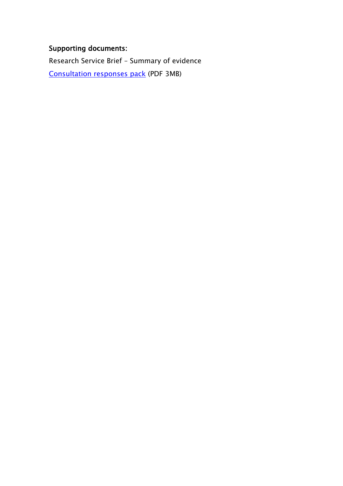### Supporting documents:

Research Service Brief – Summary of evidence Consultation [responses pack](https://business.senedd.wales/documents/s125214/Consultation%20response%20pack.pdf) (PDF 3MB)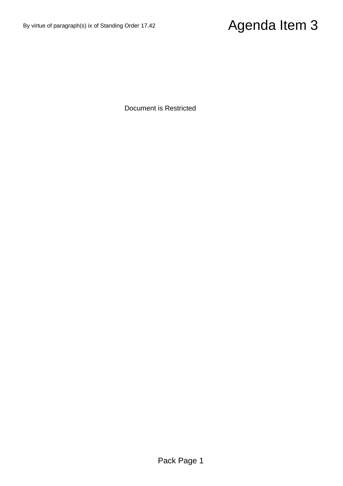# $\footnote{By since of gauge methods is of Sharating Green 7.42}\n\n Documen is Resalited\n\n Documen is Resalited\n\n Pack Page 1\n$

Document is Restricted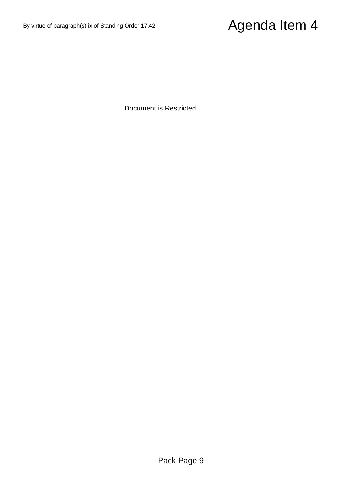# $\footnote{\textit{Py}~sine of paragraph (b) is of Sharidrig Green 7.42}\n \textit{Document is Resalited}\n \textit{Desalited}\n \textit{Bocument is Resalited}\n \textit{Page 9}\n$

Document is Restricted